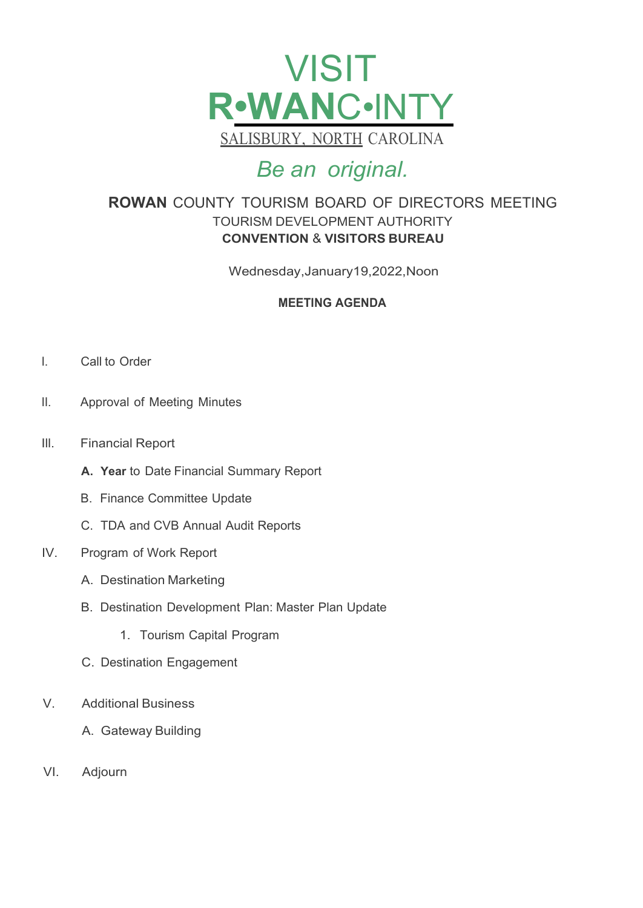

## *Be an original.*

## **ROWAN** COUNTY TOURISM BOARD OF DIRECTORS MEETING TOURISM DEVELOPMENT AUTHORITY **CONVENTION** & **VISITORS BUREAU**

Wednesday,January19,2022,Noon

### **MEETING AGENDA**

- I. Call to Order
- II. Approval of Meeting Minutes
- Ill. Financial Report
	- **A. Year** to Date Financial Summary Report
	- B. Finance Committee Update
	- C. TDA and CVB Annual Audit Reports
- IV. Program of Work Report
	- A. Destination Marketing
	- B. Destination Development Plan: Master Plan Update
		- 1. Tourism Capital Program
	- C. Destination Engagement
- V. Additional Business
	- A. Gateway Building
- VI. Adjourn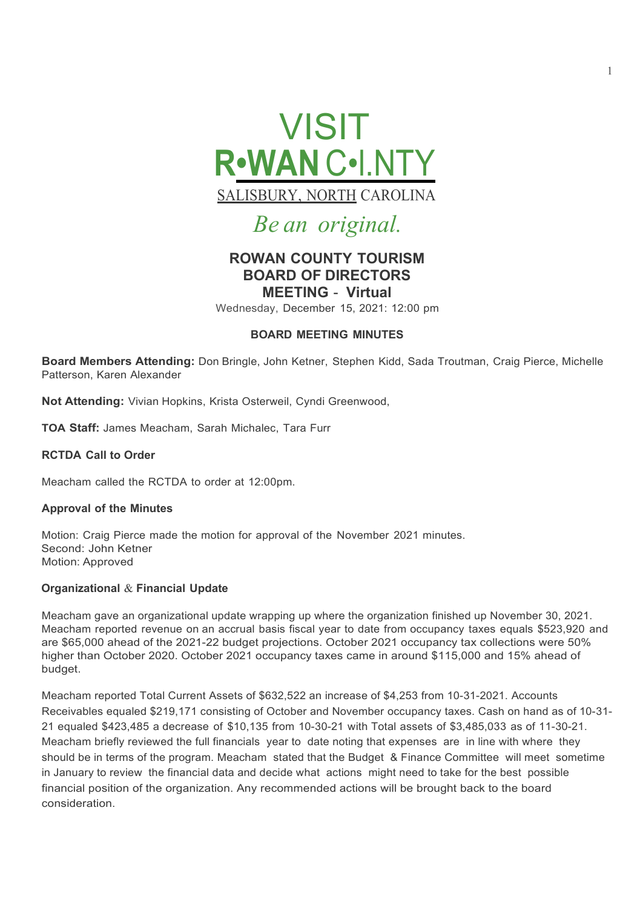

# *Be an original.*

### **ROWAN COUNTY TOURISM BOARD OF DIRECTORS MEETING** - **Virtual**

Wednesday, December 15, 2021: 12:00 pm

#### **BOARD MEETING MINUTES**

**Board Members Attending:** Don Bringle, John Ketner, Stephen Kidd, Sada Troutman, Craig Pierce, Michelle Patterson, Karen Alexander

**Not Attending:** Vivian Hopkins, Krista Osterweil, Cyndi Greenwood,

**TOA Staff:** James Meacham, Sarah Michalec, Tara Furr

#### **RCTDA Call to Order**

Meacham called the RCTDA to order at 12:00pm.

#### **Approval of the Minutes**

Motion: Craig Pierce made the motion for approval of the November 2021 minutes. Second: John Ketner Motion: Approved

#### **Organizational** & **Financial Update**

Meacham gave an organizational update wrapping up where the organization finished up November 30, 2021. Meacham reported revenue on an accrual basis fiscal year to date from occupancy taxes equals \$523,920 and are \$65,000 ahead of the 2021-22 budget projections. October 2021 occupancy tax collections were 50% higher than October 2020. October 2021 occupancy taxes came in around \$115,000 and 15% ahead of budget.

Meacham reported Total Current Assets of \$632,522 an increase of \$4,253 from 10-31-2021. Accounts Receivables equaled \$219,171 consisting of October and November occupancy taxes. Cash on hand as of 10-31-21 equaled \$423,485 a decrease of \$10,135 from 10-30-21 with Total assets of \$3,485,033 as of 11-30-21. Meacham briefly reviewed the full financials year to date noting that expenses are in line with where they should be in terms of the program. Meacham stated that the Budget & Finance Committee will meet sometime in January to review the financial data and decide what actions might need to take for the best possible financial position of the organization. Any recommended actions will be brought back to the board consideration.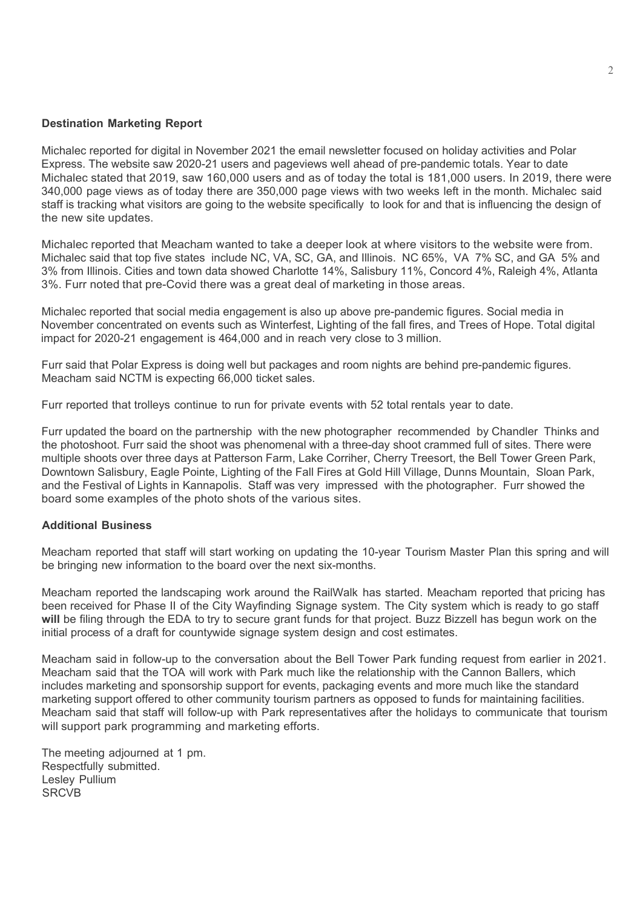#### **Destination Marketing Report**

Michalec reported for digital in November 2021 the email newsletter focused on holiday activities and Polar Express. The website saw 2020-21 users and pageviews well ahead of pre-pandemic totals. Year to date Michalec stated that 2019, saw 160,000 users and as of today the total is 181,000 users. In 2019, there were 340,000 page views as of today there are 350,000 page views with two weeks left in the month. Michalec said staff is tracking what visitors are going to the website specifically to look for and that is influencing the design of the new site updates.

Michalec reported that Meacham wanted to take a deeper look at where visitors to the website were from. Michalec said that top five states include NC, VA, SC, GA, and Illinois. NC 65%, VA 7% SC, and GA 5% and 3% from Illinois. Cities and town data showed Charlotte 14%, Salisbury 11%, Concord 4%, Raleigh 4%, Atlanta 3%. Furr noted that pre-Covid there was a great deal of marketing in those areas.

Michalec reported that social media engagement is also up above pre-pandemic figures. Social media in November concentrated on events such as Winterfest, Lighting of the fall fires, and Trees of Hope. Total digital impact for 2020-21 engagement is 464,000 and in reach very close to 3 million.

Furr said that Polar Express is doing well but packages and room nights are behind pre-pandemic figures. Meacham said NCTM is expecting 66,000 ticket sales.

Furr reported that trolleys continue to run for private events with 52 total rentals year to date.

Furr updated the board on the partnership with the new photographer recommended by Chandler Thinks and the photoshoot. Furr said the shoot was phenomenal with a three-day shoot crammed full of sites. There were multiple shoots over three days at Patterson Farm, Lake Corriher, Cherry Treesort, the Bell Tower Green Park, Downtown Salisbury, Eagle Pointe, Lighting of the Fall Fires at Gold Hill Village, Dunns Mountain, Sloan Park, and the Festival of Lights in Kannapolis. Staff was very impressed with the photographer. Furr showed the board some examples of the photo shots of the various sites.

#### **Additional Business**

Meacham reported that staff will start working on updating the 10-year Tourism Master Plan this spring and will be bringing new information to the board over the next six-months.

Meacham reported the landscaping work around the RailWalk has started. Meacham reported that pricing has been received for Phase II of the City Wayfinding Signage system. The City system which is ready to go staff **will** be filing through the EDA to try to secure grant funds for that project. Buzz Bizzell has begun work on the initial process of a draft for countywide signage system design and cost estimates.

Meacham said in follow-up to the conversation about the Bell Tower Park funding request from earlier in 2021. Meacham said that the TOA will work with Park much like the relationship with the Cannon Ballers, which includes marketing and sponsorship support for events, packaging events and more much like the standard marketing support offered to other community tourism partners as opposed to funds for maintaining facilities. Meacham said that staff will follow-up with Park representatives after the holidays to communicate that tourism will support park programming and marketing efforts.

The meeting adjourned at 1 pm. Respectfully submitted. Lesley Pullium **SRCVB**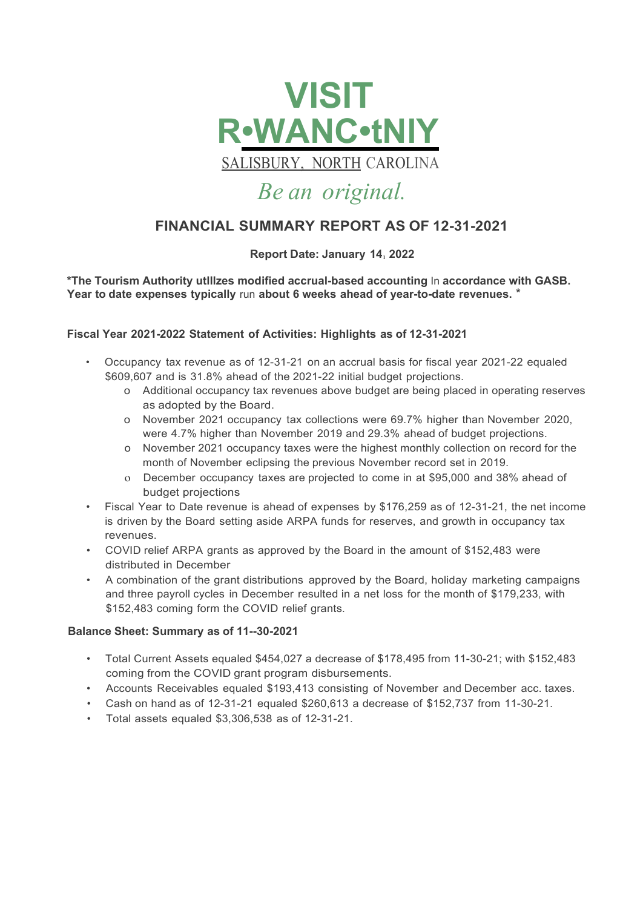

SALISBURY, NORTH CAROLINA

## *Be an original.*

## **FINANCIAL SUMMARY REPORT AS OF 12-31-2021**

#### **Report Date: January 14, 2022**

**\*The Tourism Authority utlllzes modified accrual-based accounting** In **accordance with GASB. Year to date expenses typically** run **about 6 weeks ahead of year-to-date revenues.** \*

#### **Fiscal Year 2021-2022 Statement of Activities: Highlights as of 12-31-2021**

- Occupancy tax revenue as of 12-31-21 on an accrual basis for fiscal year 2021-22 equaled \$609,607 and is 31.8% ahead of the 2021-22 initial budget projections.
	- o Additional occupancy tax revenues above budget are being placed in operating reserves as adopted by the Board.
	- o November 2021 occupancy tax collections were 69.7% higher than November 2020, were 4.7% higher than November 2019 and 29.3% ahead of budget projections.
	- o November 2021 occupancy taxes were the highest monthly collection on record for the month of November eclipsing the previous November record set in 2019.
	- o December occupancy taxes are projected to come in at \$95,000 and 38% ahead of budget projections
- Fiscal Year to Date revenue is ahead of expenses by \$176,259 as of 12-31-21, the net income is driven by the Board setting aside ARPA funds for reserves, and growth in occupancy tax revenues.
- COVID relief ARPA grants as approved by the Board in the amount of \$152,483 were distributed in December
- A combination of the grant distributions approved by the Board, holiday marketing campaigns and three payroll cycles in December resulted in a net loss for the month of \$179,233, with \$152,483 coming form the COVID relief grants.

#### **Balance Sheet: Summary as of 11--30-2021**

- Total Current Assets equaled \$454,027 a decrease of \$178,495 from 11-30-21; with \$152,483 coming from the COVID grant program disbursements.
- Accounts Receivables equaled \$193,413 consisting of November and December acc. taxes.
- Cash on hand as of 12-31-21 equaled \$260,613 a decrease of \$152,737 from 11-30-21.
- Total assets equaled \$3,306,538 as of 12-31-21.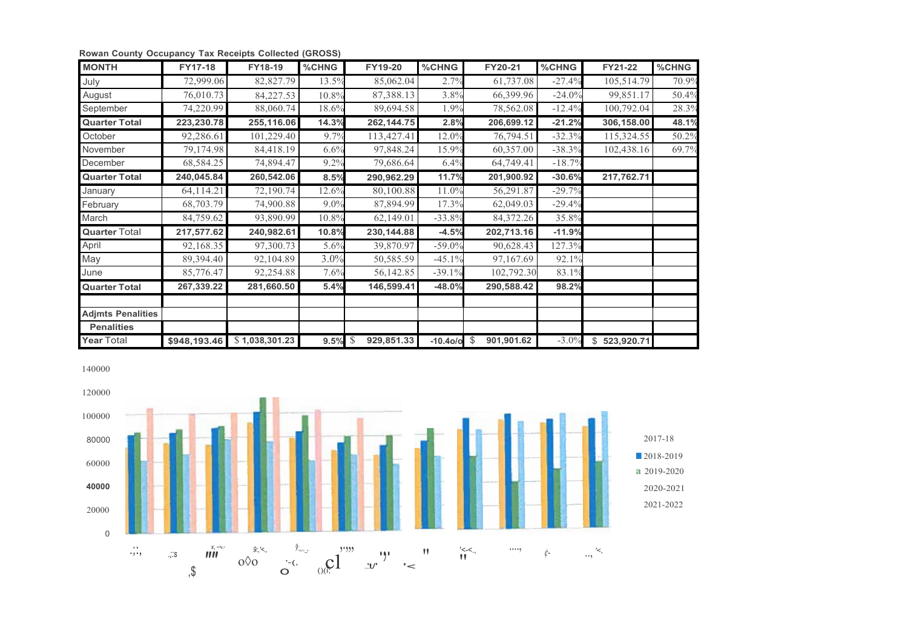| <b>MONTH</b>             | <b>FY17-18</b> | FY18-19                        | %CHNG      | <b>FY19-20</b> | %CHNG           | FY20-21    | %CHNG    | FY21-22      | %CHNG |
|--------------------------|----------------|--------------------------------|------------|----------------|-----------------|------------|----------|--------------|-------|
| July                     | 72,999.06      | 82,827.79                      | 13.5%      | 85,062.04      | 2.7%            | 61,737.08  | $-27.4%$ | 105,514.79   | 70.9% |
| August                   | 76,010.73      | 84,227.53                      | 10.8%      | 87,388.13      | 3.8%            | 66,399.96  | $-24.0%$ | 99,851.17    | 50.4% |
| September                | 74,220.99      | 88,060.74                      | 18.6%      | 89,694.58      | 1.9%            | 78,562.08  | $-12.4%$ | 100,792.04   | 28.3% |
| <b>Quarter Total</b>     | 223,230.78     | 255,116.06                     | 14.3%      | 262, 144. 75   | 2.8%            | 206,699.12 | $-21.2%$ | 306,158.00   | 48.1% |
| October                  | 92,286.61      | 101,229.40                     | 9.7%       | 113,427.41     | 12.0%           | 76,794.51  | $-32.3%$ | 115,324.55   | 50.2% |
| November                 | 79,174.98      | 84,418.19                      | 6.6%       | 97,848.24      | 15.9%           | 60,357.00  | $-38.3%$ | 102,438.16   | 69.7% |
| December                 | 68,584.25      | 74,894.47                      | 9.2%       | 79,686.64      | 6.4%            | 64,749.41  | $-18.7%$ |              |       |
| <b>Quarter Total</b>     | 240,045.84     | 260,542.06                     | 8.5%       | 290,962.29     | 11.7%           | 201,900.92 | $-30.6%$ | 217,762.71   |       |
| January                  | 64,114.21      | 72,190.74                      | 12.6%      | 80,100.88      | 11.0%           | 56,291.87  | $-29.7%$ |              |       |
| February                 | 68,703.79      | 74,900.88                      | 9.0%       | 87,894.99      | 17.3%           | 62,049.03  | $-29.4%$ |              |       |
| March                    | 84,759.62      | 93,890.99                      | 10.8%      | 62,149.01      | $-33.8%$        | 84,372.26  | 35.8%    |              |       |
| <b>Quarter Total</b>     | 217,577.62     | 240,982.61                     | 10.8%      | 230, 144.88    | $-4.5%$         | 202,713.16 | $-11.9%$ |              |       |
| April                    | 92,168.35      | 97,300.73                      | 5.6%       | 39,870.97      | $-59.0%$        | 90,628.43  | 127.3%   |              |       |
| May                      | 89,394.40      | 92,104.89                      | 3.0%       | 50,585.59      | $-45.1%$        | 97,167.69  | 92.1%    |              |       |
| June                     | 85,776.47      | 92,254.88                      | 7.6%       | 56,142.85      | $-39.1%$        | 102,792.30 | 83.1%    |              |       |
| <b>Quarter Total</b>     | 267,339.22     | 281,660.50                     | 5.4%       | 146,599.41     | $-48.0%$        | 290,588.42 | 98.2%    |              |       |
|                          |                |                                |            |                |                 |            |          |              |       |
| <b>Adjmts Penalities</b> |                |                                |            |                |                 |            |          |              |       |
| <b>Penalities</b>        |                |                                |            |                |                 |            |          |              |       |
| Year Total               |                | $$948,193.46$ \\$ 1,038,301.23 | $9.5\%$ \$ | 929,851.33     | $-10.40$ /a $$$ | 901,901.62 | $-3.0\%$ | \$523,920.71 |       |

**Rowan County Occupancy Tax Receipts Collected (GROSS)**

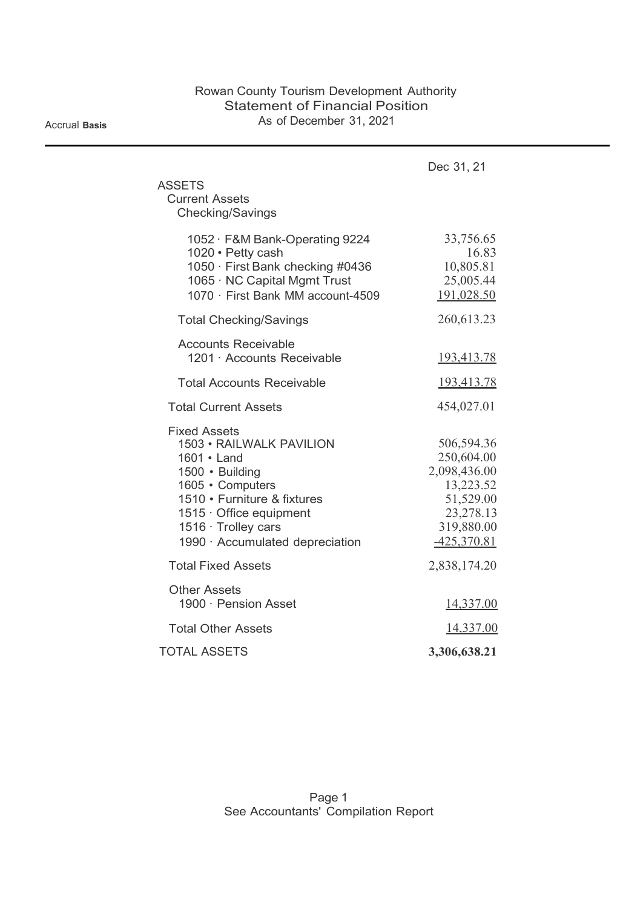Accrual **Basis**

|                                                                                                                                                                                                                                 | Dec 31, 21                                                                                                     |
|---------------------------------------------------------------------------------------------------------------------------------------------------------------------------------------------------------------------------------|----------------------------------------------------------------------------------------------------------------|
| <b>ASSETS</b><br><b>Current Assets</b><br>Checking/Savings                                                                                                                                                                      |                                                                                                                |
| 1052 · F&M Bank-Operating 9224<br>1020 · Petty cash<br>1050 · First Bank checking #0436<br>1065 · NC Capital Mgmt Trust<br>1070 · First Bank MM account-4509                                                                    | 33,756.65<br>16.83<br>10,805.81<br>25,005.44<br>191,028.50                                                     |
| <b>Total Checking/Savings</b>                                                                                                                                                                                                   | 260,613.23                                                                                                     |
| <b>Accounts Receivable</b><br>1201 · Accounts Receivable                                                                                                                                                                        | <u>193,413.78</u>                                                                                              |
| <b>Total Accounts Receivable</b>                                                                                                                                                                                                | <u>193,413.78</u>                                                                                              |
| <b>Total Current Assets</b>                                                                                                                                                                                                     | 454,027.01                                                                                                     |
| <b>Fixed Assets</b><br>1503 · RAILWALK PAVILION<br>1601 · Land<br>1500 · Building<br>1605 · Computers<br>1510 • Furniture & fixtures<br>$1515 \cdot$ Office equipment<br>1516 · Trolley cars<br>1990 · Accumulated depreciation | 506,594.36<br>250,604.00<br>2,098,436.00<br>13,223.52<br>51,529.00<br>23,278.13<br>319,880.00<br>$-425,370.81$ |
| <b>Total Fixed Assets</b>                                                                                                                                                                                                       | 2,838,174.20                                                                                                   |
| <b>Other Assets</b><br>1900 · Pension Asset                                                                                                                                                                                     | 14,337.00                                                                                                      |
| <b>Total Other Assets</b>                                                                                                                                                                                                       | 14,337.00                                                                                                      |
| <b>TOTAL ASSETS</b>                                                                                                                                                                                                             | 3,306,638.21                                                                                                   |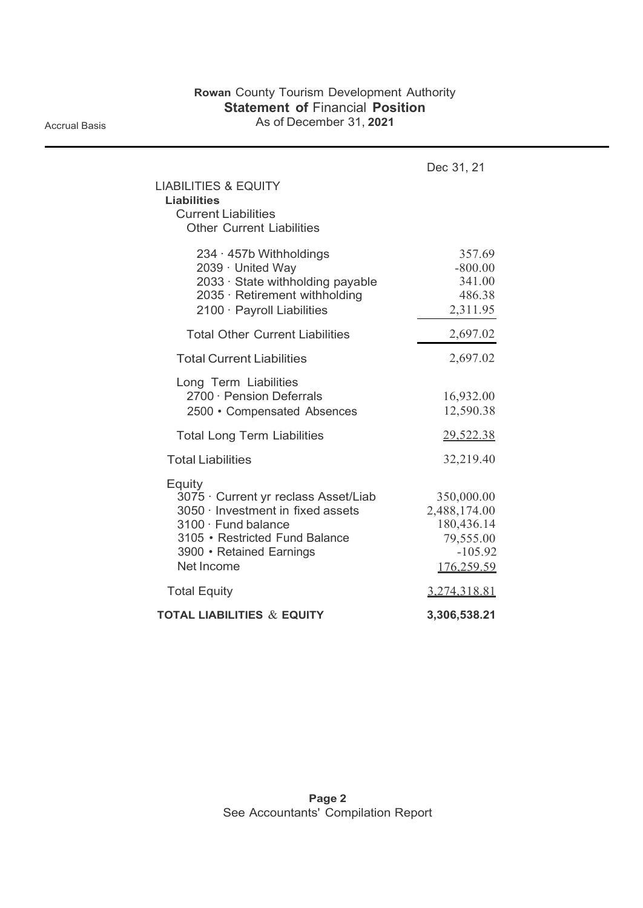Accrual Basis

| <b>LIABILITIES &amp; EQUITY</b><br><b>Liabilities</b><br><b>Current Liabilities</b><br><b>Other Current Liabilities</b>                                                                      | Dec 31, 21                                                                       |
|----------------------------------------------------------------------------------------------------------------------------------------------------------------------------------------------|----------------------------------------------------------------------------------|
| 234 · 457b Withholdings<br>2039 · United Way<br>2033 · State withholding payable<br>2035 · Retirement withholding<br>2100 · Payroll Liabilities                                              | 357.69<br>$-800.00$<br>341.00<br>486.38<br>2,311.95                              |
| <b>Total Other Current Liabilities</b>                                                                                                                                                       | 2,697.02                                                                         |
| <b>Total Current Liabilities</b>                                                                                                                                                             | 2,697.02                                                                         |
| Long Term Liabilities<br>2700 · Pension Deferrals<br>2500 • Compensated Absences                                                                                                             | 16,932.00<br>12,590.38                                                           |
| <b>Total Long Term Liabilities</b>                                                                                                                                                           | 29,522.38                                                                        |
| <b>Total Liabilities</b>                                                                                                                                                                     | 32,219.40                                                                        |
| Equity<br>3075 · Current yr reclass Asset/Liab<br>3050 · Investment in fixed assets<br>$3100 \cdot$ Fund balance<br>3105 • Restricted Fund Balance<br>3900 • Retained Earnings<br>Net Income | 350,000.00<br>2,488,174.00<br>180,436.14<br>79,555.00<br>$-105.92$<br>176,259.59 |
| <b>Total Equity</b>                                                                                                                                                                          | 3,274,318.81                                                                     |
| <b>TOTAL LIABILITIES &amp; EQUITY</b>                                                                                                                                                        | 3,306,538.21                                                                     |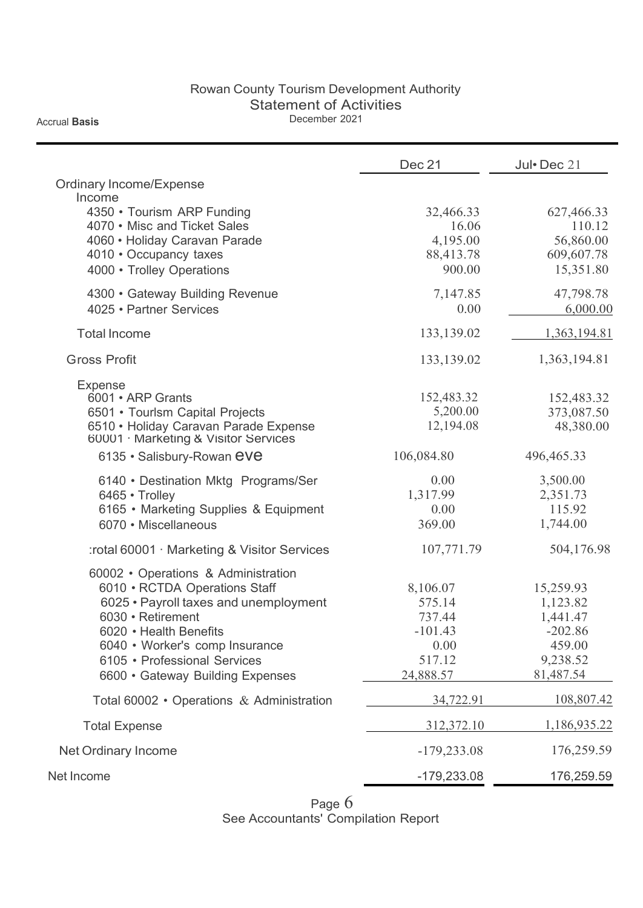#### Rowan County Tourism Development Authority Statement of Activities December 2021

Accrual **Basis**

Dec 21 Jul • Dec 21 Ordinary Income/Expense **Gross Profit** 6600 • Gateway Building Expenses 24,888.57 81,487.54 Total 60002 • Operations & Administration 24,722.91 108,807.42 Total Expense 312,372.10 1,186,935.22 Net Ordinary Income 2012 179,233.08 176,259.59 Net Income -179,233.08 176,259.59 Income 4350 • Tourism ARP Funding 32,466.33 627,466.33 627,466.33 627,466.33 4070 • Misc and Ticket Sales 16.06 110.12 4060 • Holiday Caravan Parade 4,195.00 56,860.00<br>4010 • Occupancy taxes 88,413.78 609,607.78 4010 • Occupancy taxes 4000 • Trolley Operations **900.00** 15,351.80 4300 • Gateway Building Revenue 7,147.85 47,798.78<br>4025 • Partner Services 6.000.00 6.000.00 4025 • Partner Services 6,000 6,000 6,000 6,000 6,000 6,000 6,000 6,000 6,000 6,000 6,000 6,000 6,000 6,000 6,000 6,000 6,000 6,000 6,000 6,000 6,000 6,000 6,000 6,000 6,000 6,000 6,000 6,000 6,000 6,000 6,000 6,000 6,000 Total Income 133,139.02 1,363,194.81 133,139.02 1,363,194.81 Expense 6001 • ARP Grants 152,483.32 152,483.32 6501 • Tourlsm Capital Projects 5,200.00 373,087.50 6510 • Holiday Caravan Parade Expense 12,194.08 48,380.00 60001 · Marketing & Visitor Services 6135 • Salisbury-Rowan eve 106,084.80 496,465.33 6140 • Destination Mktg Programs/Ser  $0.00$  3,500.00 6465 • Trolley 2,351.73 6165 • Marketing Supplies & Equipment 0.00 0.00 115.92 6070 • Miscellaneous 369.00 1,744.00 :rotal 60001 · Marketing & Visitor Services 107,771.79 504,176.98 60002 • Operations & Administration 6010 • RCTDA Operations Staff 8,106.07 15,259.93 6025 • Payroll taxes and unemployment 575.14 1,123.82 6030 • Retirement 1,441.47 6020 • Health Benefits **-101.43** -202.86 6040 • Worker's comp Insurance 0.00 459.00 6105 • Professional Services 517.12 9,238.52

> Page 6 See Accountants' Compilation Report